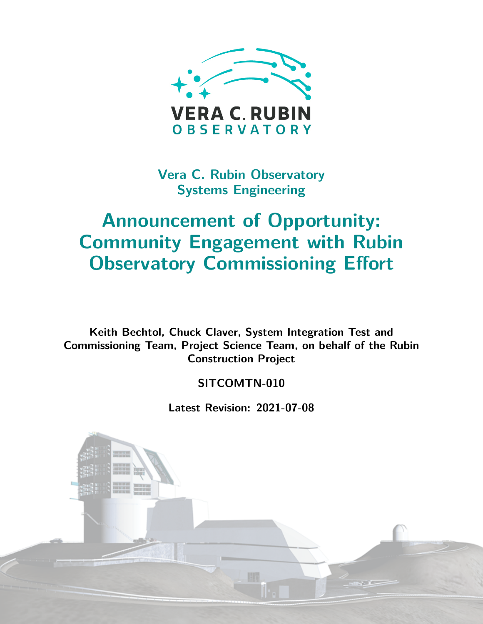

**Vera C. Rubin Observatory Systems Engineering**

# **Announcement of Opportunity: Community Engagement with Rubin Observatory Commissioning Effort**

**Keith Bechtol, Chuck Claver, System Integration Test and Commissioning Team, Project Science Team, on behalf of the Rubin Construction Project**

#### **SITCOMTN-010**

**Latest Revision: 2021-07-08**

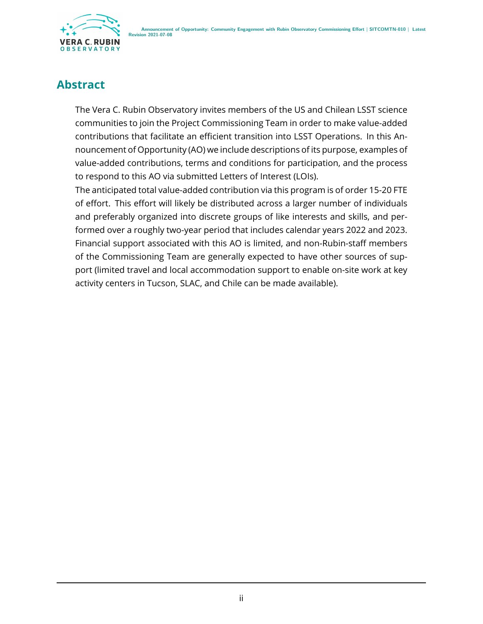

# **Abstract**

The Vera C. Rubin Observatory invites members of the US and Chilean LSST science communities to join the Project Commissioning Team in order to make value-added contributions that facilitate an efficient transition into LSST Operations. In this Announcement of Opportunity (AO) we include descriptions of its purpose, examples of value-added contributions, terms and conditions for participation, and the process to respond to this AO via submitted Letters of Interest (LOIs).

The anticipated total value-added contribution via this program is of order 15-20 FTE of effort. This effort will likely be distributed across a larger number of individuals and preferably organized into discrete groups of like interests and skills, and performed over a roughly two-year period that includes calendar years 2022 and 2023. Financial support associated with this AO is limited, and non-Rubin-staff members of the Commissioning Team are generally expected to have other sources of support (limited travel and local accommodation support to enable on-site work at key activity centers in Tucson, SLAC, and Chile can be made available).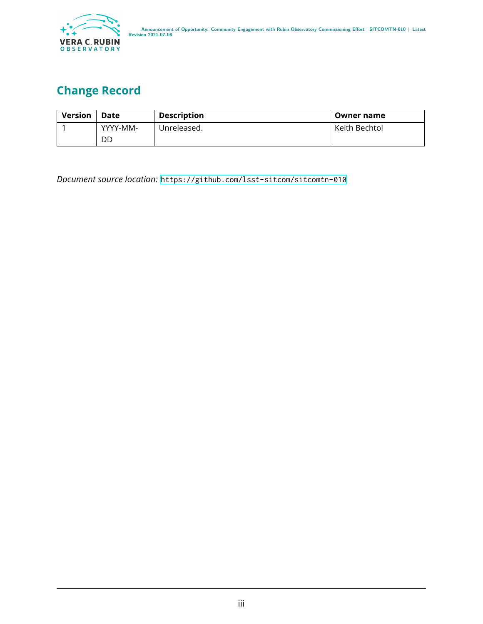

# **Change Record**

| <b>Version</b> | Date     | <b>Description</b> | Owner name    |
|----------------|----------|--------------------|---------------|
|                | YYYY-MM- | Unreleased.        | Keith Bechtol |
|                | DD       |                    |               |

*Document source location:* <https://github.com/lsst-sitcom/sitcomtn-010>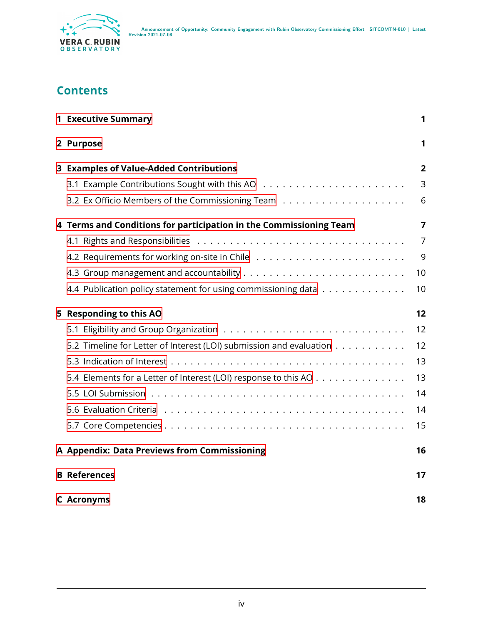

### **Contents**

| <b>1 Executive Summary</b>                                          | 1              |
|---------------------------------------------------------------------|----------------|
| 2 Purpose                                                           | 1              |
| 3 Examples of Value-Added Contributions                             | $\overline{2}$ |
|                                                                     | 3              |
|                                                                     | 6              |
| 4 Terms and Conditions for participation in the Commissioning Team  | 7              |
|                                                                     | $\overline{7}$ |
|                                                                     | 9              |
|                                                                     | 10             |
| 4.4 Publication policy statement for using commissioning data       | 10             |
| 5 Responding to this AO                                             | 12             |
|                                                                     | 12             |
| 5.2 Timeline for Letter of Interest (LOI) submission and evaluation | 12             |
|                                                                     | 13             |
| 5.4 Elements for a Letter of Interest (LOI) response to this AO     | 13             |
|                                                                     | 14             |
|                                                                     | 14             |
|                                                                     | 15             |
| A Appendix: Data Previews from Commissioning                        | 16             |
| <b>B</b> References                                                 | 17             |
| <b>C</b> Acronyms                                                   | 18             |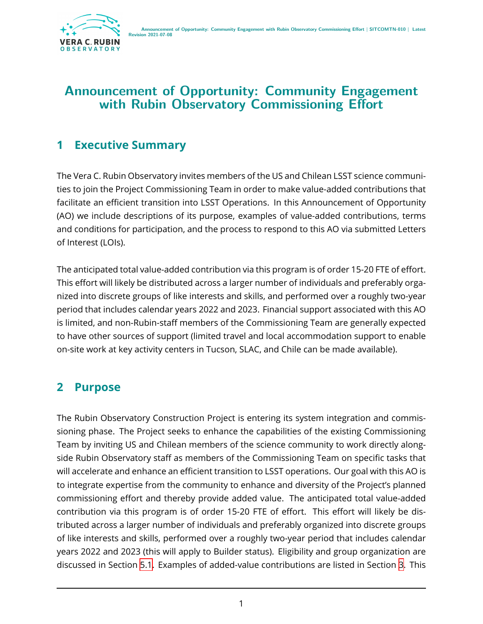

# **Announcement of Opportunity: Community Engagement with Rubin Observatory Commissioning Effort**

# <span id="page-4-0"></span>**1 Executive Summary**

The Vera C. Rubin Observatory invites members of the US and Chilean LSST science communities to join the Project Commissioning Team in order to make value-added contributions that facilitate an efficient transition into LSST Operations. In this Announcement of Opportunity (AO) we include descriptions of its purpose, examples of value-added contributions, terms and conditions for participation, and the process to respond to this AO via submitted Letters of Interest (LOIs).

The anticipated total value-added contribution via this program is of order 15-20 FTE of effort. This effort will likely be distributed across a larger number of individuals and preferably organized into discrete groups of like interests and skills, and performed over a roughly two-year period that includes calendar years 2022 and 2023. Financial support associated with this AO is limited, and non-Rubin-staff members of the Commissioning Team are generally expected to have other sources of support (limited travel and local accommodation support to enable on-site work at key activity centers in Tucson, SLAC, and Chile can be made available).

# <span id="page-4-1"></span>**2 Purpose**

The Rubin Observatory Construction Project is entering its system integration and commissioning phase. The Project seeks to enhance the capabilities of the existing Commissioning Team by inviting US and Chilean members of the science community to work directly alongside Rubin Observatory staff as members of the Commissioning Team on specific tasks that will accelerate and enhance an efficient transition to LSST operations. Our goal with this AO is to integrate expertise from the community to enhance and diversity of the Project's planned commissioning effort and thereby provide added value. The anticipated total value-added contribution via this program is of order 15-20 FTE of effort. This effort will likely be distributed across a larger number of individuals and preferably organized into discrete groups of like interests and skills, performed over a roughly two-year period that includes calendar years 2022 and 2023 (this will apply to Builder status). Eligibility and group organization are discussed in Section [5.1](#page-15-1). Examples of added-value contributions are listed in Section [3.](#page-5-0) This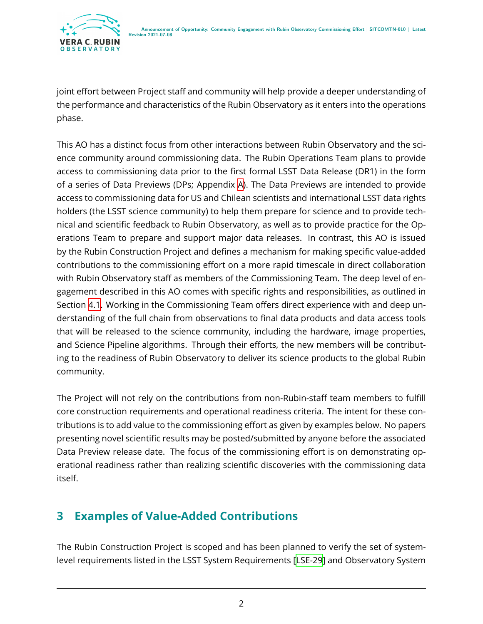joint effort between Project staff and community will help provide a deeper understanding of the performance and characteristics of the Rubin Observatory as it enters into the operations phase.

This AO has a distinct focus from other interactions between Rubin Observatory and the science community around commissioning data. The Rubin Operations Team plans to provide access to commissioning data prior to the first formal LSST Data Release (DR1) in the form of a series of Data Previews (DPs; Appendix [A\)](#page-19-0). The Data Previews are intended to provide access to commissioning data for US and Chilean scientists and international LSST data rights holders (the LSST science community) to help them prepare for science and to provide technical and scientific feedback to Rubin Observatory, as well as to provide practice for the Operations Team to prepare and support major data releases. In contrast, this AO is issued by the Rubin Construction Project and defines a mechanism for making specific value-added contributions to the commissioning effort on a more rapid timescale in direct collaboration with Rubin Observatory staff as members of the Commissioning Team. The deep level of engagement described in this AO comes with specific rights and responsibilities, as outlined in Section [4.1](#page-10-1). Working in the Commissioning Team offers direct experience with and deep understanding of the full chain from observations to final data products and data access tools that will be released to the science community, including the hardware, image properties, and Science Pipeline algorithms. Through their efforts, the new members will be contributing to the readiness of Rubin Observatory to deliver its science products to the global Rubin community.

The Project will not rely on the contributions from non-Rubin-staff team members to fulfill core construction requirements and operational readiness criteria. The intent for these contributions is to add value to the commissioning effort as given by examples below. No papers presenting novel scientific results may be posted/submitted by anyone before the associated Data Preview release date. The focus of the commissioning effort is on demonstrating operational readiness rather than realizing scientific discoveries with the commissioning data itself.

# <span id="page-5-0"></span>**3 Examples of Value-Added Contributions**

The Rubin Construction Project is scoped and has been planned to verify the set of systemlevel requirements listed in the LSST System Requirements [\[LSE-29](#page-21-1)] and Observatory System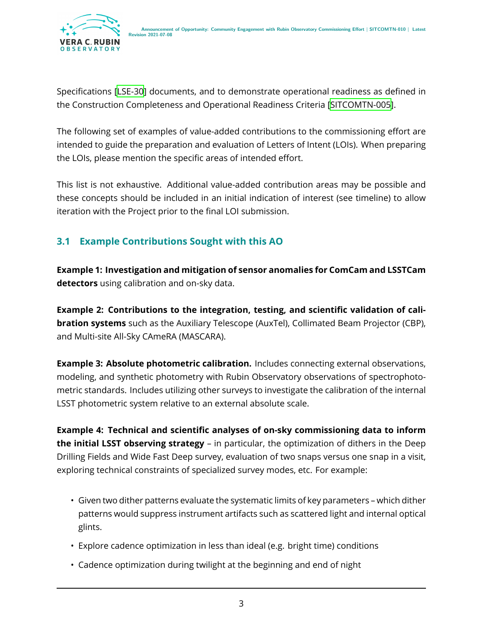Specifications[[LSE-30](#page-21-2)] documents, and to demonstrate operational readiness as defined in the Construction Completeness and Operational Readiness Criteria[[SITCOMTN-005\]](#page-21-3).

The following set of examples of value-added contributions to the commissioning effort are intended to guide the preparation and evaluation of Letters of Intent (LOIs). When preparing the LOIs, please mention the specific areas of intended effort.

This list is not exhaustive. Additional value-added contribution areas may be possible and these concepts should be included in an initial indication of interest (see timeline) to allow iteration with the Project prior to the final LOI submission.

#### <span id="page-6-0"></span>**3.1 Example Contributions Sought with this AO**

**Example 1: Investigation and mitigation of sensor anomalies for ComCam and LSSTCam detectors** using calibration and on-sky data.

**Example 2: Contributions to the integration, testing, and scientific validation of calibration systems** such as the Auxiliary Telescope (AuxTel), Collimated Beam Projector (CBP), and Multi-site All-Sky CAmeRA (MASCARA).

**Example 3: Absolute photometric calibration.** Includes connecting external observations, modeling, and synthetic photometry with Rubin Observatory observations of spectrophotometric standards. Includes utilizing other surveys to investigate the calibration of the internal LSST photometric system relative to an external absolute scale.

**Example 4: Technical and scientific analyses of on-sky commissioning data to inform the initial LSST observing strategy** – in particular, the optimization of dithers in the Deep Drilling Fields and Wide Fast Deep survey, evaluation of two snaps versus one snap in a visit, exploring technical constraints of specialized survey modes, etc. For example:

- Given two dither patterns evaluate the systematic limits of key parameters which dither patterns would suppress instrument artifacts such as scattered light and internal optical glints.
- Explore cadence optimization in less than ideal (e.g. bright time) conditions
- Cadence optimization during twilight at the beginning and end of night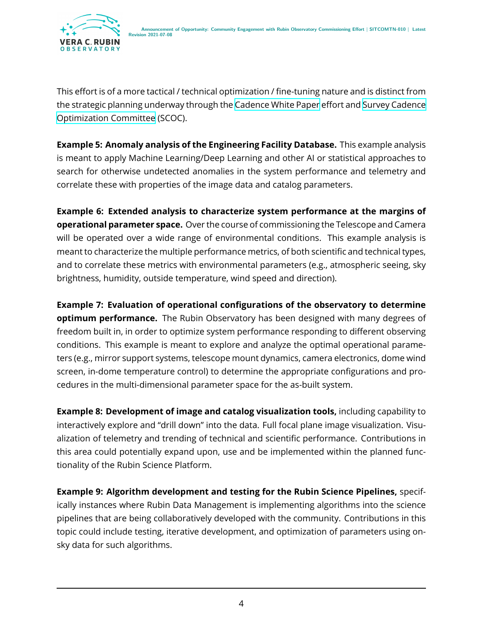

This effort is of a more tactical / technical optimization / fine-tuning nature and is distinct from the strategic planning underway through the [Cadence White Paper](https://www.lsst.org/content/survey-cadence-notes-2021) effort and [Survey Cadence](https://www.lsst.org/content/charge-survey-cadence-optimization-committee-scoc) [Optimization Committee](https://www.lsst.org/content/charge-survey-cadence-optimization-committee-scoc) (SCOC).

**Example 5: Anomaly analysis of the Engineering Facility Database.** This example analysis is meant to apply Machine Learning/Deep Learning and other AI or statistical approaches to search for otherwise undetected anomalies in the system performance and telemetry and correlate these with properties of the image data and catalog parameters.

**Example 6: Extended analysis to characterize system performance at the margins of operational parameter space.** Over the course of commissioning the Telescope and Camera will be operated over a wide range of environmental conditions. This example analysis is meant to characterize the multiple performance metrics, of both scientific and technical types, and to correlate these metrics with environmental parameters (e.g., atmospheric seeing, sky brightness, humidity, outside temperature, wind speed and direction).

**Example 7: Evaluation of operational configurations of the observatory to determine optimum performance.** The Rubin Observatory has been designed with many degrees of freedom built in, in order to optimize system performance responding to different observing conditions. This example is meant to explore and analyze the optimal operational parameters (e.g., mirror support systems, telescope mount dynamics, camera electronics, dome wind screen, in-dome temperature control) to determine the appropriate configurations and procedures in the multi-dimensional parameter space for the as-built system.

**Example 8: Development of image and catalog visualization tools,** including capability to interactively explore and "drill down" into the data. Full focal plane image visualization. Visualization of telemetry and trending of technical and scientific performance. Contributions in this area could potentially expand upon, use and be implemented within the planned functionality of the Rubin Science Platform.

**Example 9: Algorithm development and testing for the Rubin Science Pipelines,** specifically instances where Rubin Data Management is implementing algorithms into the science pipelines that are being collaboratively developed with the community. Contributions in this topic could include testing, iterative development, and optimization of parameters using onsky data for such algorithms.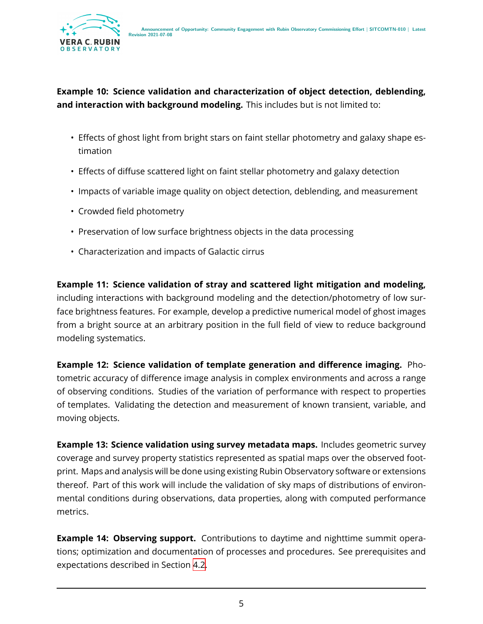

#### **Example 10: Science validation and characterization of object detection, deblending, and interaction with background modeling.** This includes but is not limited to:

- Effects of ghost light from bright stars on faint stellar photometry and galaxy shape estimation
- Effects of diffuse scattered light on faint stellar photometry and galaxy detection
- Impacts of variable image quality on object detection, deblending, and measurement
- Crowded field photometry
- Preservation of low surface brightness objects in the data processing
- Characterization and impacts of Galactic cirrus

**Example 11: Science validation of stray and scattered light mitigation and modeling,** including interactions with background modeling and the detection/photometry of low surface brightness features. For example, develop a predictive numerical model of ghost images from a bright source at an arbitrary position in the full field of view to reduce background modeling systematics.

**Example 12: Science validation of template generation and difference imaging.** Photometric accuracy of difference image analysis in complex environments and across a range of observing conditions. Studies of the variation of performance with respect to properties of templates. Validating the detection and measurement of known transient, variable, and moving objects.

**Example 13: Science validation using survey metadata maps.** Includes geometric survey coverage and survey property statistics represented as spatial maps over the observed footprint. Maps and analysis will be done using existing Rubin Observatory software or extensions thereof. Part of this work will include the validation of sky maps of distributions of environmental conditions during observations, data properties, along with computed performance metrics.

**Example 14: Observing support.** Contributions to daytime and nighttime summit operations; optimization and documentation of processes and procedures. See prerequisites and expectations described in Section [4.2](#page-12-0).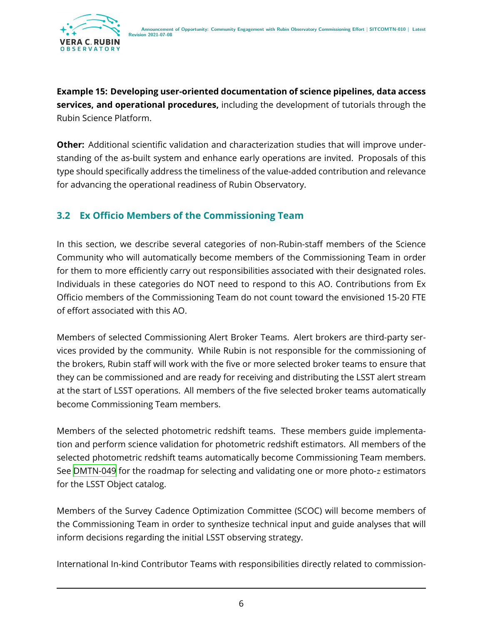**Example 15: Developing user-oriented documentation of science pipelines, data access services, and operational procedures,** including the development of tutorials through the Rubin Science Platform.

**Other:** Additional scientific validation and characterization studies that will improve understanding of the as-built system and enhance early operations are invited. Proposals of this type should specifically address the timeliness of the value-added contribution and relevance for advancing the operational readiness of Rubin Observatory.

#### <span id="page-9-0"></span>**3.2 Ex Officio Members of the Commissioning Team**

In this section, we describe several categories of non-Rubin-staff members of the Science Community who will automatically become members of the Commissioning Team in order for them to more efficiently carry out responsibilities associated with their designated roles. Individuals in these categories do NOT need to respond to this AO. Contributions from Ex Officio members of the Commissioning Team do not count toward the envisioned 15-20 FTE of effort associated with this AO.

Members of selected Commissioning Alert Broker Teams. Alert brokers are third-party services provided by the community. While Rubin is not responsible for the commissioning of the brokers, Rubin staff will work with the five or more selected broker teams to ensure that they can be commissioned and are ready for receiving and distributing the LSST alert stream at the start of LSST operations. All members of the five selected broker teams automatically become Commissioning Team members.

Members of the selected photometric redshift teams. These members guide implementation and perform science validation for photometric redshift estimators. All members of the selected photometric redshift teams automatically become Commissioning Team members. See [DMTN-049](#page-21-4) for the roadmap for selecting and validating one or more photo- $z$  estimators for the LSST Object catalog.

Members of the Survey Cadence Optimization Committee (SCOC) will become members of the Commissioning Team in order to synthesize technical input and guide analyses that will inform decisions regarding the initial LSST observing strategy.

International In-kind Contributor Teams with responsibilities directly related to commission-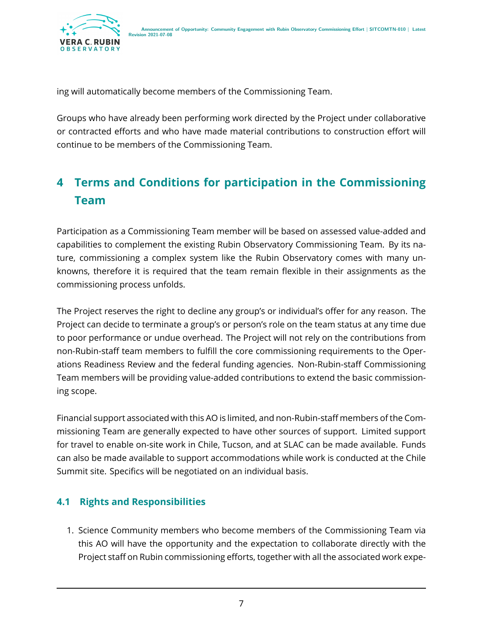

ing will automatically become members of the Commissioning Team.

Groups who have already been performing work directed by the Project under collaborative or contracted efforts and who have made material contributions to construction effort will continue to be members of the Commissioning Team.

# <span id="page-10-0"></span>**4 Terms and Conditions for participation in the Commissioning Team**

Participation as a Commissioning Team member will be based on assessed value-added and capabilities to complement the existing Rubin Observatory Commissioning Team. By its nature, commissioning a complex system like the Rubin Observatory comes with many unknowns, therefore it is required that the team remain flexible in their assignments as the commissioning process unfolds.

The Project reserves the right to decline any group's or individual's offer for any reason. The Project can decide to terminate a group's or person's role on the team status at any time due to poor performance or undue overhead. The Project will not rely on the contributions from non-Rubin-staff team members to fulfill the core commissioning requirements to the Operations Readiness Review and the federal funding agencies. Non-Rubin-staff Commissioning Team members will be providing value-added contributions to extend the basic commissioning scope.

Financial support associated with this AO is limited, and non-Rubin-staff members of the Commissioning Team are generally expected to have other sources of support. Limited support for travel to enable on-site work in Chile, Tucson, and at SLAC can be made available. Funds can also be made available to support accommodations while work is conducted at the Chile Summit site. Specifics will be negotiated on an individual basis.

#### <span id="page-10-1"></span>**4.1 Rights and Responsibilities**

1. Science Community members who become members of the Commissioning Team via this AO will have the opportunity and the expectation to collaborate directly with the Project staff on Rubin commissioning efforts, together with all the associated work expe-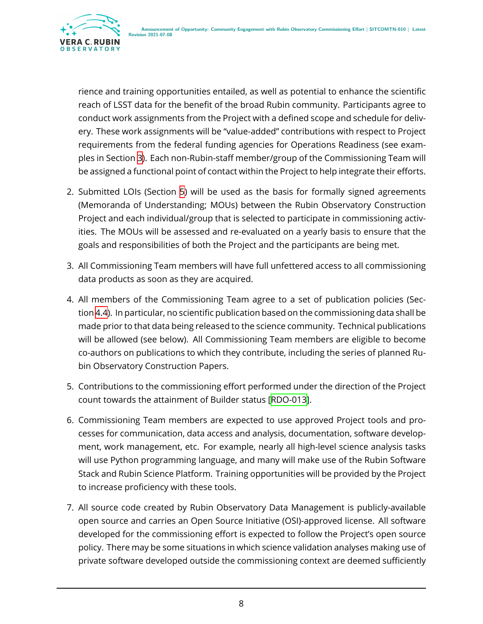

rience and training opportunities entailed, as well as potential to enhance the scientific reach of LSST data for the benefit of the broad Rubin community. Participants agree to conduct work assignments from the Project with a defined scope and schedule for delivery. These work assignments will be "value-added" contributions with respect to Project requirements from the federal funding agencies for Operations Readiness (see examples in Section [3\)](#page-5-0). Each non-Rubin-staff member/group of the Commissioning Team will be assigned a functional point of contact within the Project to help integrate their efforts.

- 2. Submitted LOIs (Section [5](#page-15-0)) will be used as the basis for formally signed agreements (Memoranda of Understanding; MOUs) between the Rubin Observatory Construction Project and each individual/group that is selected to participate in commissioning activities. The MOUs will be assessed and re-evaluated on a yearly basis to ensure that the goals and responsibilities of both the Project and the participants are being met.
- 3. All Commissioning Team members will have full unfettered access to all commissioning data products as soon as they are acquired.
- 4. All members of the Commissioning Team agree to a set of publication policies (Section [4.4\)](#page-13-1). In particular, no scientific publication based on the commissioning data shall be made prior to that data being released to the science community. Technical publications will be allowed (see below). All Commissioning Team members are eligible to become co-authors on publications to which they contribute, including the series of planned Rubin Observatory Construction Papers.
- 5. Contributions to the commissioning effort performed under the direction of the Project count towards the attainment of Builder status[[RDO-013\]](#page-20-1).
- 6. Commissioning Team members are expected to use approved Project tools and processes for communication, data access and analysis, documentation, software development, work management, etc. For example, nearly all high-level science analysis tasks will use Python programming language, and many will make use of the Rubin Software Stack and Rubin Science Platform. Training opportunities will be provided by the Project to increase proficiency with these tools.
- 7. All source code created by Rubin Observatory Data Management is publicly-available open source and carries an Open Source Initiative (OSI)-approved license. All software developed for the commissioning effort is expected to follow the Project's open source policy. There may be some situations in which science validation analyses making use of private software developed outside the commissioning context are deemed sufficiently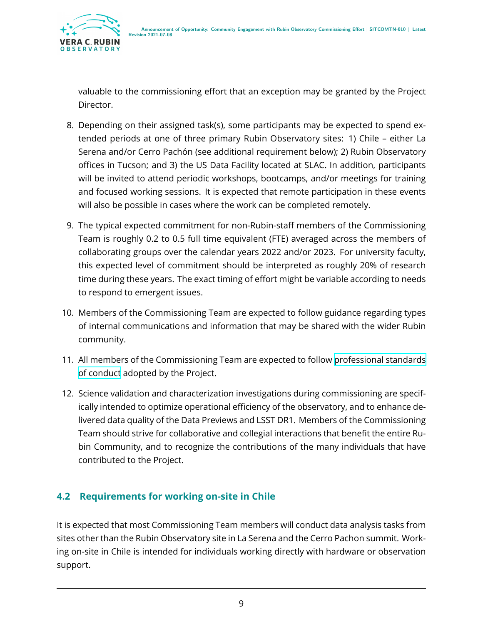

valuable to the commissioning effort that an exception may be granted by the Project Director.

- 8. Depending on their assigned task(s), some participants may be expected to spend extended periods at one of three primary Rubin Observatory sites: 1) Chile – either La Serena and/or Cerro Pachón (see additional requirement below); 2) Rubin Observatory offices in Tucson; and 3) the US Data Facility located at SLAC. In addition, participants will be invited to attend periodic workshops, bootcamps, and/or meetings for training and focused working sessions. It is expected that remote participation in these events will also be possible in cases where the work can be completed remotely.
- 9. The typical expected commitment for non-Rubin-staff members of the Commissioning Team is roughly 0.2 to 0.5 full time equivalent (FTE) averaged across the members of collaborating groups over the calendar years 2022 and/or 2023. For university faculty, this expected level of commitment should be interpreted as roughly 20% of research time during these years. The exact timing of effort might be variable according to needs to respond to emergent issues.
- 10. Members of the Commissioning Team are expected to follow guidance regarding types of internal communications and information that may be shared with the wider Rubin community.
- 11. All members of the Commissioning Team are expected to follow [professional standards](https://www.lsst.org/scientists/codes-of-conduct) [of conduct](https://www.lsst.org/scientists/codes-of-conduct) adopted by the Project.
- 12. Science validation and characterization investigations during commissioning are specifically intended to optimize operational efficiency of the observatory, and to enhance delivered data quality of the Data Previews and LSST DR1. Members of the Commissioning Team should strive for collaborative and collegial interactions that benefit the entire Rubin Community, and to recognize the contributions of the many individuals that have contributed to the Project.

#### <span id="page-12-0"></span>**4.2 Requirements for working on-site in Chile**

It is expected that most Commissioning Team members will conduct data analysis tasks from sites other than the Rubin Observatory site in La Serena and the Cerro Pachon summit. Working on-site in Chile is intended for individuals working directly with hardware or observation support.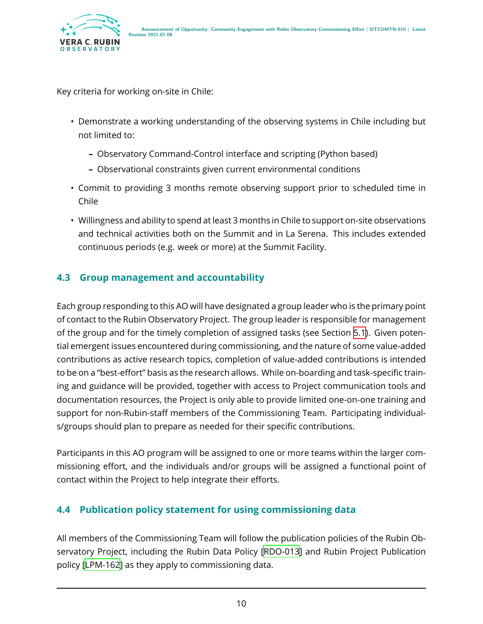

Key criteria for working on-site in Chile:

- Demonstrate a working understanding of the observing systems in Chile including but not limited to:
	- **–** Observatory Command-Control interface and scripting (Python based)
	- **–** Observational constraints given current environmental conditions
- Commit to providing 3 months remote observing support prior to scheduled time in Chile
- Willingness and ability to spend at least 3 months in Chile to support on-site observations and technical activities both on the Summit and in La Serena. This includes extended continuous periods (e.g. week or more) at the Summit Facility.

#### <span id="page-13-0"></span>**4.3 Group management and accountability**

Each group responding to this AO will have designated a group leader who is the primary point of contact to the Rubin Observatory Project. The group leader is responsible for management of the group and for the timely completion of assigned tasks (see Section [5.1\)](#page-15-1). Given potential emergent issues encountered during commissioning, and the nature of some value-added contributions as active research topics, completion of value-added contributions is intended to be on a "best-effort" basis as the research allows. While on-boarding and task-specific training and guidance will be provided, together with access to Project communication tools and documentation resources, the Project is only able to provide limited one-on-one training and support for non-Rubin-staff members of the Commissioning Team. Participating individuals/groups should plan to prepare as needed for their specific contributions.

Participants in this AO program will be assigned to one or more teams within the larger commissioning effort, and the individuals and/or groups will be assigned a functional point of contact within the Project to help integrate their efforts.

#### <span id="page-13-1"></span>**4.4 Publication policy statement for using commissioning data**

All members of the Commissioning Team will follow the publication policies of the Rubin Observatory Project, including the Rubin Data Policy [\[RDO-013\]](#page-20-1) and Rubin Project Publication policy[[LPM-162](#page-21-5)] as they apply to commissioning data.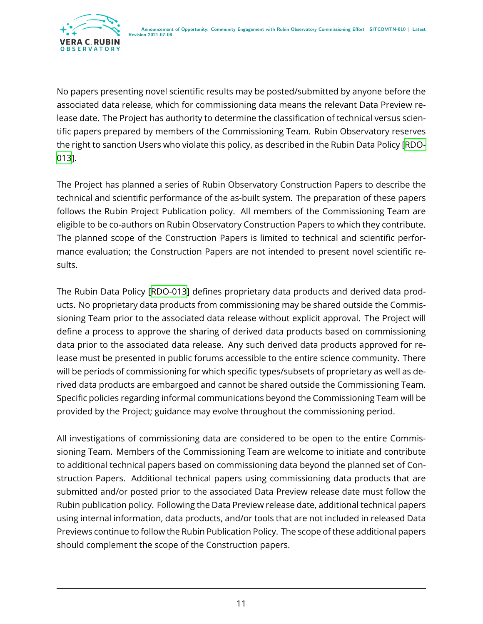

No papers presenting novel scientific results may be posted/submitted by anyone before the associated data release, which for commissioning data means the relevant Data Preview release date. The Project has authority to determine the classification of technical versus scientific papers prepared by members of the Commissioning Team. Rubin Observatory reserves the right to sanction Users who violate this policy, as described in the Rubin Data Policy [\[RDO-](#page-20-1)[013\]](#page-20-1).

The Project has planned a series of Rubin Observatory Construction Papers to describe the technical and scientific performance of the as-built system. The preparation of these papers follows the Rubin Project Publication policy. All members of the Commissioning Team are eligible to be co-authors on Rubin Observatory Construction Papers to which they contribute. The planned scope of the Construction Papers is limited to technical and scientific performance evaluation; the Construction Papers are not intended to present novel scientific results.

The Rubin Data Policy [\[RDO-013\]](#page-20-1) defines proprietary data products and derived data products. No proprietary data products from commissioning may be shared outside the Commissioning Team prior to the associated data release without explicit approval. The Project will define a process to approve the sharing of derived data products based on commissioning data prior to the associated data release. Any such derived data products approved for release must be presented in public forums accessible to the entire science community. There will be periods of commissioning for which specific types/subsets of proprietary as well as derived data products are embargoed and cannot be shared outside the Commissioning Team. Specific policies regarding informal communications beyond the Commissioning Team will be provided by the Project; guidance may evolve throughout the commissioning period.

All investigations of commissioning data are considered to be open to the entire Commissioning Team. Members of the Commissioning Team are welcome to initiate and contribute to additional technical papers based on commissioning data beyond the planned set of Construction Papers. Additional technical papers using commissioning data products that are submitted and/or posted prior to the associated Data Preview release date must follow the Rubin publication policy. Following the Data Preview release date, additional technical papers using internal information, data products, and/or tools that are not included in released Data Previews continue to follow the Rubin Publication Policy. The scope of these additional papers should complement the scope of the Construction papers.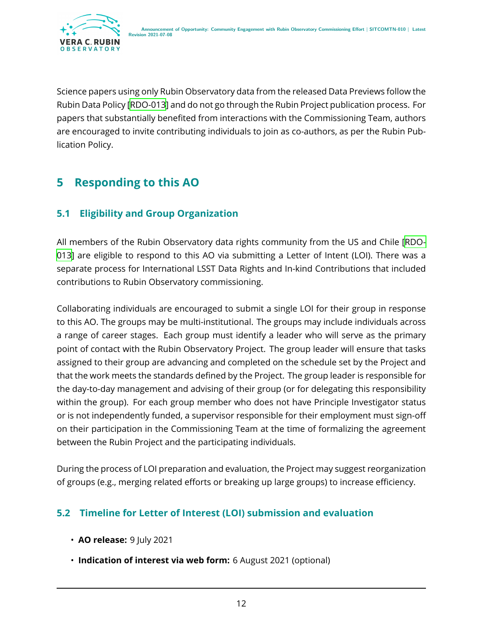

Science papers using only Rubin Observatory data from the released Data Previews follow the Rubin Data Policy[[RDO-013](#page-20-1)] and do not go through the Rubin Project publication process. For papers that substantially benefited from interactions with the Commissioning Team, authors are encouraged to invite contributing individuals to join as co-authors, as per the Rubin Publication Policy.

# <span id="page-15-0"></span>**5 Responding to this AO**

#### <span id="page-15-1"></span>**5.1 Eligibility and Group Organization**

All members of the Rubin Observatory data rights community from the US and Chile [\[RDO-](#page-20-1)[013\]](#page-20-1) are eligible to respond to this AO via submitting a Letter of Intent (LOI). There was a separate process for International LSST Data Rights and In-kind Contributions that included contributions to Rubin Observatory commissioning.

Collaborating individuals are encouraged to submit a single LOI for their group in response to this AO. The groups may be multi-institutional. The groups may include individuals across a range of career stages. Each group must identify a leader who will serve as the primary point of contact with the Rubin Observatory Project. The group leader will ensure that tasks assigned to their group are advancing and completed on the schedule set by the Project and that the work meets the standards defined by the Project. The group leader is responsible for the day-to-day management and advising of their group (or for delegating this responsibility within the group). For each group member who does not have Principle Investigator status or is not independently funded, a supervisor responsible for their employment must sign-off on their participation in the Commissioning Team at the time of formalizing the agreement between the Rubin Project and the participating individuals.

During the process of LOI preparation and evaluation, the Project may suggest reorganization of groups (e.g., merging related efforts or breaking up large groups) to increase efficiency.

#### <span id="page-15-2"></span>**5.2 Timeline for Letter of Interest (LOI) submission and evaluation**

- **AO release:** 9 July 2021
- **Indication of interest via web form:** 6 August 2021 (optional)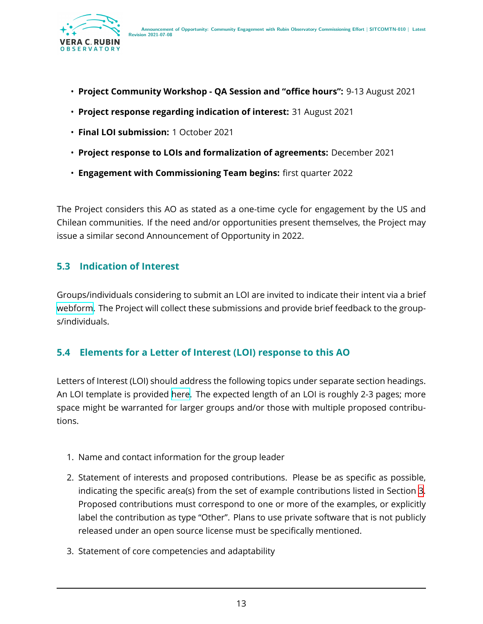

- **Project Community Workshop QA Session and "office hours":** 9-13 August 2021
- **Project response regarding indication of interest:** 31 August 2021
- **Final LOI submission:** 1 October 2021
- **Project response to LOIs and formalization of agreements:** December 2021
- **Engagement with Commissioning Team begins:** first quarter 2022

The Project considers this AO as stated as a one-time cycle for engagement by the US and Chilean communities. If the need and/or opportunities present themselves, the Project may issue a similar second Announcement of Opportunity in 2022.

#### <span id="page-16-0"></span>**5.3 Indication of Interest**

Groups/individuals considering to submit an LOI are invited to indicate their intent via a brief [webform](https://forms.gle/fu5WsRgEYewbSvs76). The Project will collect these submissions and provide brief feedback to the groups/individuals.

#### <span id="page-16-1"></span>**5.4 Elements for a Letter of Interest (LOI) response to this AO**

Letters of Interest (LOI) should address the following topics under separate section headings. An LOI template is provided [here.](https://docs.google.com/document/d/12mYS3H0xRZme2t0leGIHfzwNgh575QhqsVnoUz7ybqQ/edit?usp=sharing) The expected length of an LOI is roughly 2-3 pages; more space might be warranted for larger groups and/or those with multiple proposed contributions.

- 1. Name and contact information for the group leader
- 2. Statement of interests and proposed contributions. Please be as specific as possible, indicating the specific area(s) from the set of example contributions listed in Section [3](#page-5-0). Proposed contributions must correspond to one or more of the examples, or explicitly label the contribution as type "Other". Plans to use private software that is not publicly released under an open source license must be specifically mentioned.
- 3. Statement of core competencies and adaptability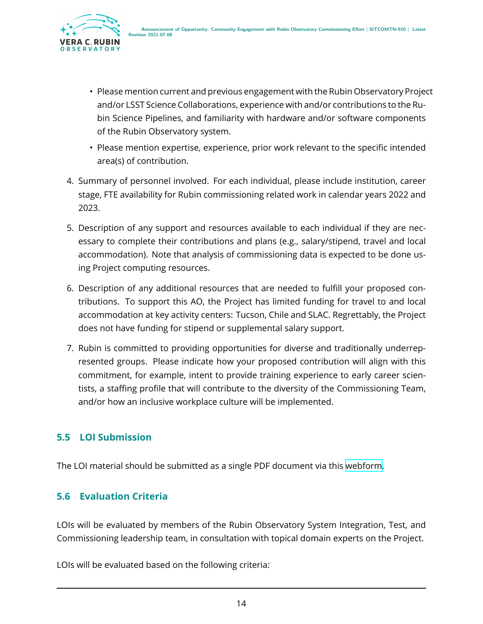

- Please mention current and previous engagement with the Rubin Observatory Project and/or LSST Science Collaborations, experience with and/or contributions to the Rubin Science Pipelines, and familiarity with hardware and/or software components of the Rubin Observatory system.
- Please mention expertise, experience, prior work relevant to the specific intended area(s) of contribution.
- 4. Summary of personnel involved. For each individual, please include institution, career stage, FTE availability for Rubin commissioning related work in calendar years 2022 and 2023.
- 5. Description of any support and resources available to each individual if they are necessary to complete their contributions and plans (e.g., salary/stipend, travel and local accommodation). Note that analysis of commissioning data is expected to be done using Project computing resources.
- 6. Description of any additional resources that are needed to fulfill your proposed contributions. To support this AO, the Project has limited funding for travel to and local accommodation at key activity centers: Tucson, Chile and SLAC. Regrettably, the Project does not have funding for stipend or supplemental salary support.
- 7. Rubin is committed to providing opportunities for diverse and traditionally underrepresented groups. Please indicate how your proposed contribution will align with this commitment, for example, intent to provide training experience to early career scientists, a staffing profile that will contribute to the diversity of the Commissioning Team, and/or how an inclusive workplace culture will be implemented.

#### <span id="page-17-0"></span>**5.5 LOI Submission**

<span id="page-17-1"></span>The LOI material should be submitted as a single PDF document via this [webform.](https://forms.gle/K6pKZDbS19gqhG2H6)

#### **5.6 Evaluation Criteria**

LOIs will be evaluated by members of the Rubin Observatory System Integration, Test, and Commissioning leadership team, in consultation with topical domain experts on the Project.

LOIs will be evaluated based on the following criteria: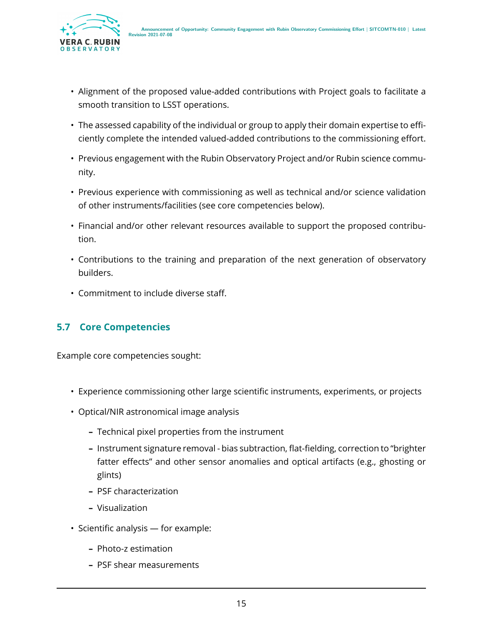

- Alignment of the proposed value-added contributions with Project goals to facilitate a smooth transition to LSST operations.
- The assessed capability of the individual or group to apply their domain expertise to efficiently complete the intended valued-added contributions to the commissioning effort.
- Previous engagement with the Rubin Observatory Project and/or Rubin science community.
- Previous experience with commissioning as well as technical and/or science validation of other instruments/facilities (see core competencies below).
- Financial and/or other relevant resources available to support the proposed contribution.
- Contributions to the training and preparation of the next generation of observatory builders.
- Commitment to include diverse staff.

#### <span id="page-18-0"></span>**5.7 Core Competencies**

Example core competencies sought:

- Experience commissioning other large scientific instruments, experiments, or projects
- Optical/NIR astronomical image analysis
	- **–** Technical pixel properties from the instrument
	- **–** Instrument signature removal bias subtraction, flat-fielding, correction to "brighter fatter effects" and other sensor anomalies and optical artifacts (e.g., ghosting or glints)
	- **–** PSF characterization
	- **–** Visualization
- Scientific analysis for example:
	- **–** Photo-z estimation
	- **–** PSF shear measurements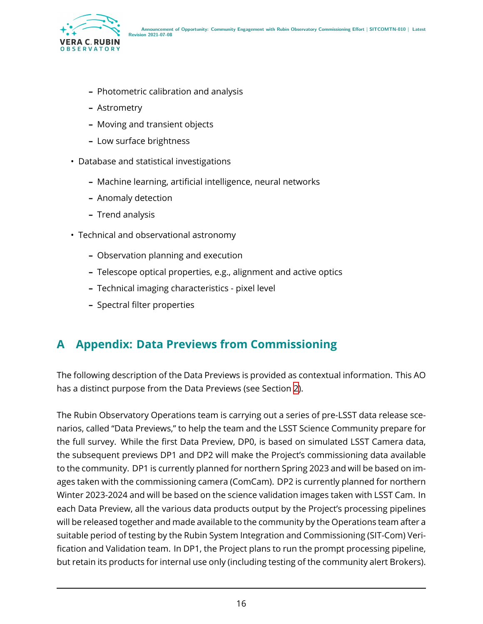

- **–** Photometric calibration and analysis
- **–** Astrometry
- **–** Moving and transient objects
- **–** Low surface brightness
- Database and statistical investigations
	- **–** Machine learning, artificial intelligence, neural networks
	- **–** Anomaly detection
	- **–** Trend analysis
- Technical and observational astronomy
	- **–** Observation planning and execution
	- **–** Telescope optical properties, e.g., alignment and active optics
	- **–** Technical imaging characteristics pixel level
	- **–** Spectral filter properties

# <span id="page-19-0"></span>**A Appendix: Data Previews from Commissioning**

The following description of the Data Previews is provided as contextual information. This AO has a distinct purpose from the Data Previews (see Section [2\)](#page-4-1).

The Rubin Observatory Operations team is carrying out a series of pre-LSST data release scenarios, called "Data Previews," to help the team and the LSST Science Community prepare for the full survey. While the first Data Preview, DP0, is based on simulated LSST Camera data, the subsequent previews DP1 and DP2 will make the Project's commissioning data available to the community. DP1 is currently planned for northern Spring 2023 and will be based on images taken with the commissioning camera (ComCam). DP2 is currently planned for northern Winter 2023-2024 and will be based on the science validation images taken with LSST Cam. In each Data Preview, all the various data products output by the Project's processing pipelines will be released together and made available to the community by the Operations team after a suitable period of testing by the Rubin System Integration and Commissioning (SIT-Com) Verification and Validation team. In DP1, the Project plans to run the prompt processing pipeline, but retain its products for internal use only (including testing of the community alert Brokers).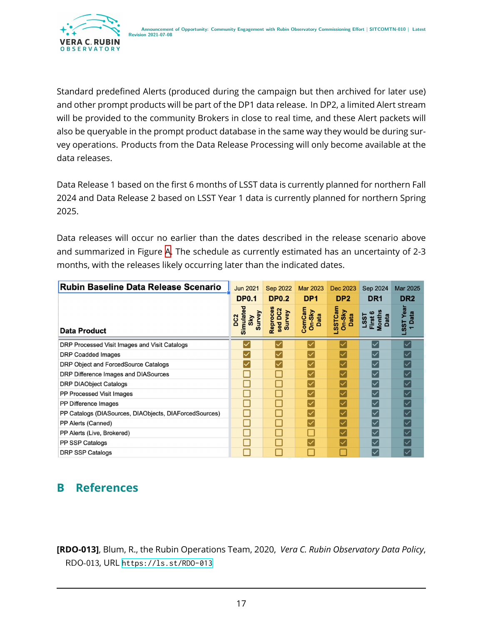

Standard predefined Alerts (produced during the campaign but then archived for later use) and other prompt products will be part of the DP1 data release. In DP2, a limited Alert stream will be provided to the community Brokers in close to real time, and these Alert packets will also be queryable in the prompt product database in the same way they would be during survey operations. Products from the Data Release Processing will only become available at the data releases.

Data Release 1 based on the first 6 months of LSST data is currently planned for northern Fall 2024 and Data Release 2 based on LSST Year 1 data is currently planned for northern Spring 2025.

Data releases will occur no earlier than the dates described in the release scenario above and summarized in Figure [A](#page-19-0). The schedule as currently estimated has an uncertainty of 2-3 months, with the releases likely occurring later than the indicated dates.

| <b>Rubin Baseline Data Release Scenario</b>            | <b>Jun 2021</b>                                      | <b>Sep 2022</b>               | <b>Mar 2023</b>            | <b>Dec 2023</b>                    | Sep 2024                                 | Mar 2025                           |
|--------------------------------------------------------|------------------------------------------------------|-------------------------------|----------------------------|------------------------------------|------------------------------------------|------------------------------------|
|                                                        | <b>DP0.1</b>                                         | <b>DP0.2</b>                  | DP <sub>1</sub>            | DP <sub>2</sub>                    | DR <sub>1</sub>                          | DR <sub>2</sub>                    |
| <b>Data Product</b>                                    | Simulated<br>Survey<br>DC <sub>2</sub><br><b>Sky</b> | Reproces<br>sed DC2<br>Survey | ComCam<br>$On-Sky$<br>Data | <b>LSSTCam</b><br>$On-Sky$<br>Data | <b>Months</b><br>LSST<br>First 6<br>Data | Yeal<br>Data<br>SST<br>$\mathbf -$ |
| DRP Processed Visit Images and Visit Catalogs          |                                                      |                               |                            |                                    | $\checkmark$                             |                                    |
| <b>DRP Coadded Images</b>                              |                                                      |                               |                            |                                    | $\overline{\check{}}$                    |                                    |
| DRP Object and ForcedSource Catalogs                   |                                                      |                               |                            |                                    | $\overline{\check{}}$                    |                                    |
| DRP Difference Images and DIASources                   |                                                      |                               |                            |                                    | $\overline{\check{}}$                    |                                    |
| <b>DRP DIAObject Catalogs</b>                          |                                                      |                               |                            |                                    | $\overline{\checkmark}$                  |                                    |
| PP Processed Visit Images                              |                                                      |                               |                            |                                    | $\overline{\checkmark}$                  |                                    |
| PP Difference Images                                   |                                                      |                               |                            |                                    | $\overline{\check{}}$                    |                                    |
| PP Catalogs (DIASources, DIAObjects, DIAForcedSources) |                                                      |                               |                            |                                    | ∣✓                                       |                                    |
| PP Alerts (Canned)                                     |                                                      |                               |                            |                                    | ∣✓                                       |                                    |
| PP Alerts (Live, Brokered)                             |                                                      |                               |                            |                                    | $\overline{\check{}}$                    |                                    |
| PP SSP Catalogs                                        |                                                      |                               |                            |                                    | $\overline{\check{}}$                    |                                    |
| <b>DRP SSP Catalogs</b>                                |                                                      |                               |                            |                                    | $\overline{\check{}}$                    |                                    |

# <span id="page-20-0"></span>**B References**

<span id="page-20-1"></span>**[RDO-013]**, Blum, R., the Rubin Operations Team, 2020, *Vera C. Rubin Observatory Data Policy*, RDO-013, URL <https://ls.st/RDO-013>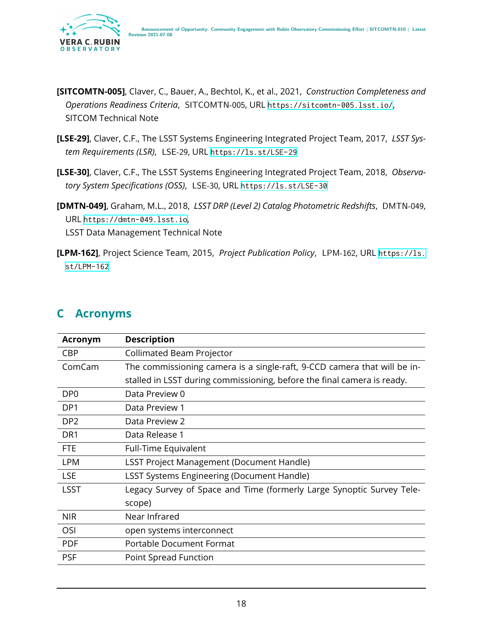

- <span id="page-21-3"></span>**[SITCOMTN-005]**, Claver, C., Bauer, A., Bechtol, K., et al., 2021, *Construction Completeness and Operations Readiness Criteria*, SITCOMTN-005, URL <https://sitcomtn-005.lsst.io/>, SITCOM Technical Note
- <span id="page-21-1"></span>**[LSE-29]**, Claver, C.F., The LSST Systems Engineering Integrated Project Team, 2017, *LSST System Requirements (LSR)*, LSE-29, URL <https://ls.st/LSE-29>
- <span id="page-21-2"></span>**[LSE-30]**, Claver, C.F., The LSST Systems Engineering Integrated Project Team, 2018, *Observatory System Specifications (OSS)*, LSE-30, URL <https://ls.st/LSE-30>
- <span id="page-21-4"></span>**[DMTN-049]**, Graham, M.L., 2018, *LSST DRP (Level 2) Catalog Photometric Redshifts*, DMTN-049, URL <https://dmtn-049.lsst.io>, LSST Data Management Technical Note
- <span id="page-21-5"></span>**[LPM-162]**, Project Science Team, 2015, *Project Publication Policy*, LPM-162, URL [https://ls.](https://ls.st/LPM-162) [st/LPM-162](https://ls.st/LPM-162)

<span id="page-21-0"></span>

|  | <b>Acronyms</b> |
|--|-----------------|
|--|-----------------|

| <b>Acronym</b>  | <b>Description</b>                                                       |
|-----------------|--------------------------------------------------------------------------|
| <b>CBP</b>      | Collimated Beam Projector                                                |
| ComCam          | The commissioning camera is a single-raft, 9-CCD camera that will be in- |
|                 | stalled in LSST during commissioning, before the final camera is ready.  |
| DP <sub>0</sub> | Data Preview 0                                                           |
| DP <sub>1</sub> | Data Preview 1                                                           |
| DP <sub>2</sub> | Data Preview 2                                                           |
| DR <sub>1</sub> | Data Release 1                                                           |
| <b>FTE</b>      | Full-Time Equivalent                                                     |
| <b>LPM</b>      | <b>LSST Project Management (Document Handle)</b>                         |
| <b>LSE</b>      | <b>LSST Systems Engineering (Document Handle)</b>                        |
| <b>LSST</b>     | Legacy Survey of Space and Time (formerly Large Synoptic Survey Tele-    |
|                 | scope)                                                                   |
| <b>NIR</b>      | Near Infrared                                                            |
| OSI             | open systems interconnect                                                |
| <b>PDF</b>      | Portable Document Format                                                 |
| <b>PSF</b>      | Point Spread Function                                                    |